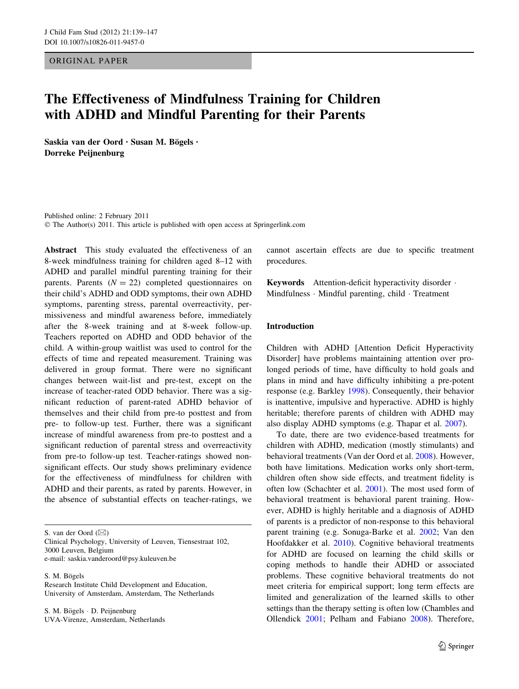## ORIGINAL PAPER

# The Effectiveness of Mindfulness Training for Children with ADHD and Mindful Parenting for their Parents

Saskia van der Oord · Susan M. Bögels · Dorreke Peijnenburg

Published online: 2 February 2011 © The Author(s) 2011. This article is published with open access at Springerlink.com

Abstract This study evaluated the effectiveness of an 8-week mindfulness training for children aged 8–12 with ADHD and parallel mindful parenting training for their parents. Parents  $(N = 22)$  completed questionnaires on their child's ADHD and ODD symptoms, their own ADHD symptoms, parenting stress, parental overreactivity, permissiveness and mindful awareness before, immediately after the 8-week training and at 8-week follow-up. Teachers reported on ADHD and ODD behavior of the child. A within-group waitlist was used to control for the effects of time and repeated measurement. Training was delivered in group format. There were no significant changes between wait-list and pre-test, except on the increase of teacher-rated ODD behavior. There was a significant reduction of parent-rated ADHD behavior of themselves and their child from pre-to posttest and from pre- to follow-up test. Further, there was a significant increase of mindful awareness from pre-to posttest and a significant reduction of parental stress and overreactivity from pre-to follow-up test. Teacher-ratings showed nonsignificant effects. Our study shows preliminary evidence for the effectiveness of mindfulness for children with ADHD and their parents, as rated by parents. However, in the absence of substantial effects on teacher-ratings, we

S. van der Oord  $(\boxtimes)$ 

Clinical Psychology, University of Leuven, Tiensestraat 102, 3000 Leuven, Belgium e-mail: saskia.vanderoord@psy.kuleuven.be

S. M. Bögels

Research Institute Child Development and Education, University of Amsterdam, Amsterdam, The Netherlands

S. M. Bögels · D. Peijnenburg UVA-Virenze, Amsterdam, Netherlands cannot ascertain effects are due to specific treatment procedures.

Keywords Attention-deficit hyperactivity disorder -Mindfulness - Mindful parenting, child - Treatment

## Introduction

Children with ADHD [Attention Deficit Hyperactivity Disorder] have problems maintaining attention over prolonged periods of time, have difficulty to hold goals and plans in mind and have difficulty inhibiting a pre-potent response (e.g. Barkley [1998](#page-7-0)). Consequently, their behavior is inattentive, impulsive and hyperactive. ADHD is highly heritable; therefore parents of children with ADHD may also display ADHD symptoms (e.g. Thapar et al. [2007\)](#page-8-0).

To date, there are two evidence-based treatments for children with ADHD, medication (mostly stimulants) and behavioral treatments (Van der Oord et al. [2008\)](#page-8-0). However, both have limitations. Medication works only short-term, children often show side effects, and treatment fidelity is often low (Schachter et al. [2001](#page-8-0)). The most used form of behavioral treatment is behavioral parent training. However, ADHD is highly heritable and a diagnosis of ADHD of parents is a predictor of non-response to this behavioral parent training (e.g. Sonuga-Barke et al. [2002](#page-8-0); Van den Hoofdakker et al. [2010\)](#page-8-0). Cognitive behavioral treatments for ADHD are focused on learning the child skills or coping methods to handle their ADHD or associated problems. These cognitive behavioral treatments do not meet criteria for empirical support; long term effects are limited and generalization of the learned skills to other settings than the therapy setting is often low (Chambles and Ollendick [2001;](#page-7-0) Pelham and Fabiano [2008](#page-8-0)). Therefore,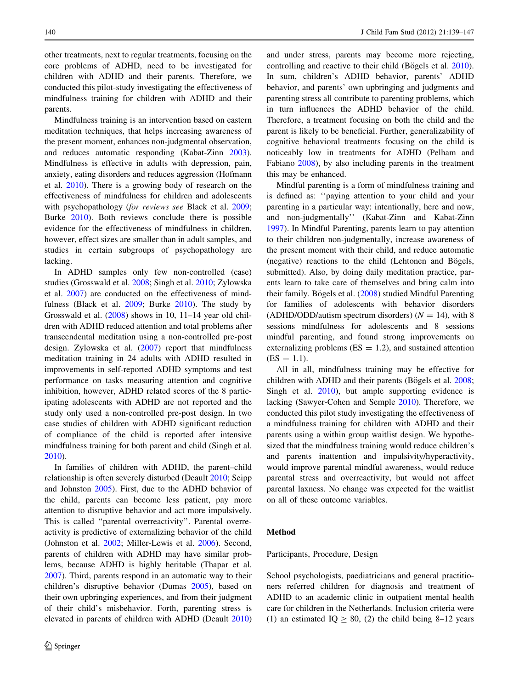other treatments, next to regular treatments, focusing on the core problems of ADHD, need to be investigated for children with ADHD and their parents. Therefore, we conducted this pilot-study investigating the effectiveness of mindfulness training for children with ADHD and their parents.

Mindfulness training is an intervention based on eastern meditation techniques, that helps increasing awareness of the present moment, enhances non-judgmental observation, and reduces automatic responding (Kabat-Zinn [2003](#page-8-0)). Mindfulness is effective in adults with depression, pain, anxiety, eating disorders and reduces aggression (Hofmann et al. [2010\)](#page-7-0). There is a growing body of research on the effectiveness of mindfulness for children and adolescents with psychopathology (for reviews see Black et al. [2009](#page-7-0); Burke [2010](#page-7-0)). Both reviews conclude there is possible evidence for the effectiveness of mindfulness in children, however, effect sizes are smaller than in adult samples, and studies in certain subgroups of psychopathology are lacking.

In ADHD samples only few non-controlled (case) studies (Grosswald et al. [2008;](#page-7-0) Singh et al. [2010](#page-8-0); Zylowska et al. [2007](#page-8-0)) are conducted on the effectiveness of mindfulness (Black et al. [2009](#page-7-0); Burke [2010\)](#page-7-0). The study by Grosswald et al. [\(2008](#page-7-0)) shows in 10, 11–14 year old children with ADHD reduced attention and total problems after transcendental meditation using a non-controlled pre-post design. Zylowska et al. [\(2007](#page-8-0)) report that mindfulness meditation training in 24 adults with ADHD resulted in improvements in self-reported ADHD symptoms and test performance on tasks measuring attention and cognitive inhibition, however, ADHD related scores of the 8 participating adolescents with ADHD are not reported and the study only used a non-controlled pre-post design. In two case studies of children with ADHD significant reduction of compliance of the child is reported after intensive mindfulness training for both parent and child (Singh et al. [2010\)](#page-8-0).

In families of children with ADHD, the parent–child relationship is often severely disturbed (Deault [2010](#page-7-0); Seipp and Johnston [2005\)](#page-8-0). First, due to the ADHD behavior of the child, parents can become less patient, pay more attention to disruptive behavior and act more impulsively. This is called ''parental overreactivity''. Parental overreactivity is predictive of externalizing behavior of the child (Johnston et al. [2002;](#page-8-0) Miller-Lewis et al. [2006](#page-8-0)). Second, parents of children with ADHD may have similar problems, because ADHD is highly heritable (Thapar et al. [2007\)](#page-8-0). Third, parents respond in an automatic way to their children's disruptive behavior (Dumas [2005\)](#page-7-0), based on their own upbringing experiences, and from their judgment of their child's misbehavior. Forth, parenting stress is elevated in parents of children with ADHD (Deault [2010\)](#page-7-0)

and under stress, parents may become more rejecting, controlling and reactive to their child (Bögels et al. [2010](#page-7-0)). In sum, children's ADHD behavior, parents' ADHD behavior, and parents' own upbringing and judgments and parenting stress all contribute to parenting problems, which in turn influences the ADHD behavior of the child. Therefore, a treatment focusing on both the child and the parent is likely to be beneficial. Further, generalizability of cognitive behavioral treatments focusing on the child is noticeably low in treatments for ADHD (Pelham and Fabiano [2008\)](#page-8-0), by also including parents in the treatment this may be enhanced.

Mindful parenting is a form of mindfulness training and is defined as: ''paying attention to your child and your parenting in a particular way: intentionally, here and now, and non-judgmentally'' (Kabat-Zinn and Kabat-Zinn [1997](#page-8-0)). In Mindful Parenting, parents learn to pay attention to their children non-judgmentally, increase awareness of the present moment with their child, and reduce automatic (negative) reactions to the child (Lehtonen and Bögels, submitted). Also, by doing daily meditation practice, parents learn to take care of themselves and bring calm into their family. Bögels et al. ([2008\)](#page-7-0) studied Mindful Parenting for families of adolescents with behavior disorders (ADHD/ODD/autism spectrum disorders) ( $N = 14$ ), with 8 sessions mindfulness for adolescents and 8 sessions mindful parenting, and found strong improvements on externalizing problems  $(ES = 1.2)$ , and sustained attention  $(ES = 1.1).$ 

All in all, mindfulness training may be effective for children with ADHD and their parents (Bögels et al. [2008](#page-7-0); Singh et al. [2010](#page-8-0)), but ample supporting evidence is lacking (Sawyer-Cohen and Semple [2010](#page-8-0)). Therefore, we conducted this pilot study investigating the effectiveness of a mindfulness training for children with ADHD and their parents using a within group waitlist design. We hypothesized that the mindfulness training would reduce children's and parents inattention and impulsivity/hyperactivity, would improve parental mindful awareness, would reduce parental stress and overreactivity, but would not affect parental laxness. No change was expected for the waitlist on all of these outcome variables.

# Method

#### Participants, Procedure, Design

School psychologists, paediatricians and general practitioners referred children for diagnosis and treatment of ADHD to an academic clinic in outpatient mental health care for children in the Netherlands. Inclusion criteria were (1) an estimated IQ  $\geq$  80, (2) the child being 8–12 years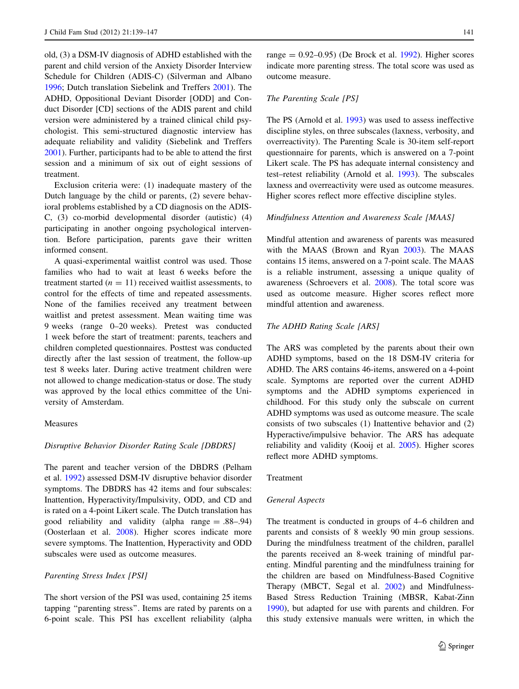old, (3) a DSM-IV diagnosis of ADHD established with the parent and child version of the Anxiety Disorder Interview Schedule for Children (ADIS-C) (Silverman and Albano [1996;](#page-8-0) Dutch translation Siebelink and Treffers [2001](#page-8-0)). The ADHD, Oppositional Deviant Disorder [ODD] and Conduct Disorder [CD] sections of the ADIS parent and child version were administered by a trained clinical child psychologist. This semi-structured diagnostic interview has adequate reliability and validity (Siebelink and Treffers [2001\)](#page-8-0). Further, participants had to be able to attend the first session and a minimum of six out of eight sessions of treatment.

Exclusion criteria were: (1) inadequate mastery of the Dutch language by the child or parents, (2) severe behavioral problems established by a CD diagnosis on the ADIS-C, (3) co-morbid developmental disorder (autistic) (4) participating in another ongoing psychological intervention. Before participation, parents gave their written informed consent.

A quasi-experimental waitlist control was used. Those families who had to wait at least 6 weeks before the treatment started  $(n = 11)$  received waitlist assessments, to control for the effects of time and repeated assessments. None of the families received any treatment between waitlist and pretest assessment. Mean waiting time was 9 weeks (range 0–20 weeks). Pretest was conducted 1 week before the start of treatment: parents, teachers and children completed questionnaires. Posttest was conducted directly after the last session of treatment, the follow-up test 8 weeks later. During active treatment children were not allowed to change medication-status or dose. The study was approved by the local ethics committee of the University of Amsterdam.

## Measures

#### Disruptive Behavior Disorder Rating Scale [DBDRS]

The parent and teacher version of the DBDRS (Pelham et al. [1992\)](#page-8-0) assessed DSM-IV disruptive behavior disorder symptoms. The DBDRS has 42 items and four subscales: Inattention, Hyperactivity/Impulsivity, ODD, and CD and is rated on a 4-point Likert scale. The Dutch translation has good reliability and validity (alpha range = .88–.94) (Oosterlaan et al. [2008](#page-8-0)). Higher scores indicate more severe symptoms. The Inattention, Hyperactivity and ODD subscales were used as outcome measures.

#### Parenting Stress Index [PSI]

The short version of the PSI was used, containing 25 items tapping ''parenting stress''. Items are rated by parents on a 6-point scale. This PSI has excellent reliability (alpha range  $= 0.92 - 0.95$ ) (De Brock et al. [1992](#page-7-0)). Higher scores indicate more parenting stress. The total score was used as outcome measure.

# The Parenting Scale [PS]

The PS (Arnold et al. [1993\)](#page-7-0) was used to assess ineffective discipline styles, on three subscales (laxness, verbosity, and overreactivity). The Parenting Scale is 30-item self-report questionnaire for parents, which is answered on a 7-point Likert scale. The PS has adequate internal consistency and test–retest reliability (Arnold et al. [1993](#page-7-0)). The subscales laxness and overreactivity were used as outcome measures. Higher scores reflect more effective discipline styles.

## Mindfulness Attention and Awareness Scale [MAAS]

Mindful attention and awareness of parents was measured with the MAAS (Brown and Ryan [2003](#page-7-0)). The MAAS contains 15 items, answered on a 7-point scale. The MAAS is a reliable instrument, assessing a unique quality of awareness (Schroevers et al. [2008](#page-8-0)). The total score was used as outcome measure. Higher scores reflect more mindful attention and awareness.

# The ADHD Rating Scale [ARS]

The ARS was completed by the parents about their own ADHD symptoms, based on the 18 DSM-IV criteria for ADHD. The ARS contains 46-items, answered on a 4-point scale. Symptoms are reported over the current ADHD symptoms and the ADHD symptoms experienced in childhood. For this study only the subscale on current ADHD symptoms was used as outcome measure. The scale consists of two subscales (1) Inattentive behavior and (2) Hyperactive/impulsive behavior. The ARS has adequate reliability and validity (Kooij et al. [2005\)](#page-8-0). Higher scores reflect more ADHD symptoms.

#### Treatment

#### General Aspects

The treatment is conducted in groups of 4–6 children and parents and consists of 8 weekly 90 min group sessions. During the mindfulness treatment of the children, parallel the parents received an 8-week training of mindful parenting. Mindful parenting and the mindfulness training for the children are based on Mindfulness-Based Cognitive Therapy (MBCT, Segal et al. [2002\)](#page-8-0) and Mindfulness-Based Stress Reduction Training (MBSR, Kabat-Zinn [1990](#page-8-0)), but adapted for use with parents and children. For this study extensive manuals were written, in which the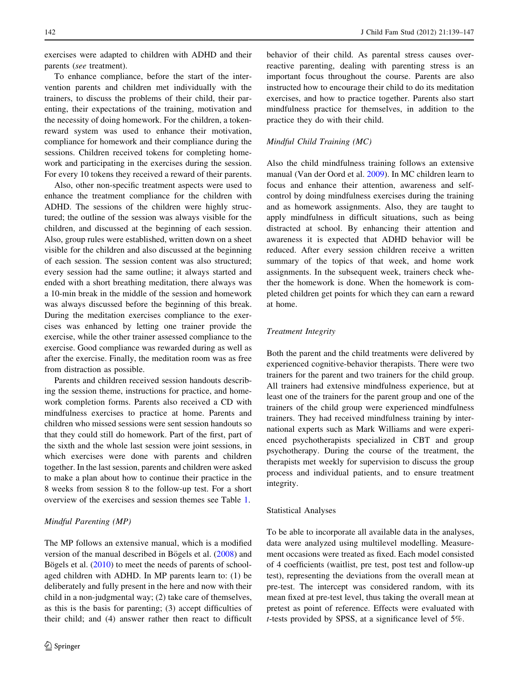exercises were adapted to children with ADHD and their parents (see treatment).

To enhance compliance, before the start of the intervention parents and children met individually with the trainers, to discuss the problems of their child, their parenting, their expectations of the training, motivation and the necessity of doing homework. For the children, a tokenreward system was used to enhance their motivation, compliance for homework and their compliance during the sessions. Children received tokens for completing homework and participating in the exercises during the session. For every 10 tokens they received a reward of their parents.

Also, other non-specific treatment aspects were used to enhance the treatment compliance for the children with ADHD. The sessions of the children were highly structured; the outline of the session was always visible for the children, and discussed at the beginning of each session. Also, group rules were established, written down on a sheet visible for the children and also discussed at the beginning of each session. The session content was also structured; every session had the same outline; it always started and ended with a short breathing meditation, there always was a 10-min break in the middle of the session and homework was always discussed before the beginning of this break. During the meditation exercises compliance to the exercises was enhanced by letting one trainer provide the exercise, while the other trainer assessed compliance to the exercise. Good compliance was rewarded during as well as after the exercise. Finally, the meditation room was as free from distraction as possible.

Parents and children received session handouts describing the session theme, instructions for practice, and homework completion forms. Parents also received a CD with mindfulness exercises to practice at home. Parents and children who missed sessions were sent session handouts so that they could still do homework. Part of the first, part of the sixth and the whole last session were joint sessions, in which exercises were done with parents and children together. In the last session, parents and children were asked to make a plan about how to continue their practice in the 8 weeks from session 8 to the follow-up test. For a short overview of the exercises and session themes see Table [1](#page-4-0).

# Mindful Parenting (MP)

The MP follows an extensive manual, which is a modified version of the manual described in Bögels et al. ([2008\)](#page-7-0) and Bögels et al.  $(2010)$  $(2010)$  to meet the needs of parents of schoolaged children with ADHD. In MP parents learn to: (1) be deliberately and fully present in the here and now with their child in a non-judgmental way; (2) take care of themselves, as this is the basis for parenting; (3) accept difficulties of their child; and (4) answer rather then react to difficult behavior of their child. As parental stress causes overreactive parenting, dealing with parenting stress is an important focus throughout the course. Parents are also instructed how to encourage their child to do its meditation exercises, and how to practice together. Parents also start mindfulness practice for themselves, in addition to the practice they do with their child.

# Mindful Child Training (MC)

Also the child mindfulness training follows an extensive manual (Van der Oord et al. [2009](#page-8-0)). In MC children learn to focus and enhance their attention, awareness and selfcontrol by doing mindfulness exercises during the training and as homework assignments. Also, they are taught to apply mindfulness in difficult situations, such as being distracted at school. By enhancing their attention and awareness it is expected that ADHD behavior will be reduced. After every session children receive a written summary of the topics of that week, and home work assignments. In the subsequent week, trainers check whether the homework is done. When the homework is completed children get points for which they can earn a reward at home.

## Treatment Integrity

Both the parent and the child treatments were delivered by experienced cognitive-behavior therapists. There were two trainers for the parent and two trainers for the child group. All trainers had extensive mindfulness experience, but at least one of the trainers for the parent group and one of the trainers of the child group were experienced mindfulness trainers. They had received mindfulness training by international experts such as Mark Williams and were experienced psychotherapists specialized in CBT and group psychotherapy. During the course of the treatment, the therapists met weekly for supervision to discuss the group process and individual patients, and to ensure treatment integrity.

#### Statistical Analyses

To be able to incorporate all available data in the analyses, data were analyzed using multilevel modelling. Measurement occasions were treated as fixed. Each model consisted of 4 coefficients (waitlist, pre test, post test and follow-up test), representing the deviations from the overall mean at pre-test. The intercept was considered random, with its mean fixed at pre-test level, thus taking the overall mean at pretest as point of reference. Effects were evaluated with t-tests provided by SPSS, at a significance level of 5%.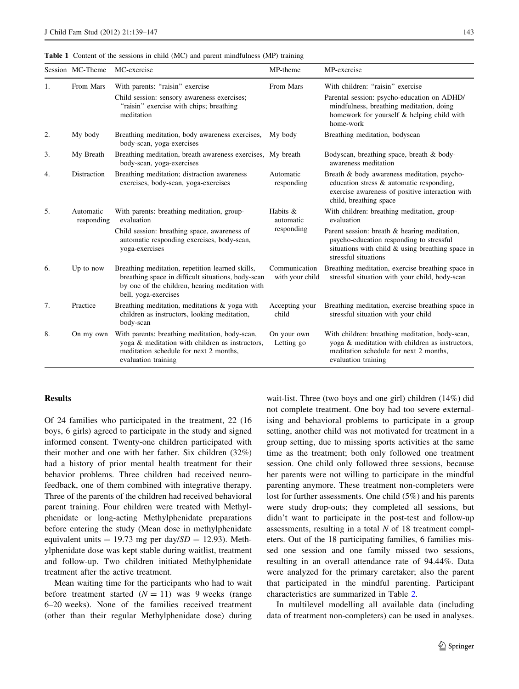<span id="page-4-0"></span>

|    | Session MC-Theme        | MC-exercise                                                                                                                                                                       | MP-theme                         | MP-exercise                                                                                                                                                          |
|----|-------------------------|-----------------------------------------------------------------------------------------------------------------------------------------------------------------------------------|----------------------------------|----------------------------------------------------------------------------------------------------------------------------------------------------------------------|
| 1. | From Mars               | With parents: "raisin" exercise                                                                                                                                                   | From Mars                        | With children: "raisin" exercise                                                                                                                                     |
|    |                         | Child session: sensory awareness exercises;<br>"raisin" exercise with chips; breathing<br>meditation                                                                              |                                  | Parental session: psycho-education on ADHD/<br>mindfulness, breathing meditation, doing<br>homework for yourself & helping child with<br>home-work                   |
| 2. | My body                 | Breathing meditation, body awareness exercises,<br>body-scan, yoga-exercises                                                                                                      | My body                          | Breathing meditation, bodyscan                                                                                                                                       |
| 3. | My Breath               | Breathing meditation, breath awareness exercises, My breath<br>body-scan, yoga-exercises                                                                                          |                                  | Bodyscan, breathing space, breath & body-<br>awareness meditation                                                                                                    |
| 4. | Distraction             | Breathing meditation; distraction awareness<br>exercises, body-scan, yoga-exercises                                                                                               | Automatic<br>responding          | Breath & body awareness meditation, psycho-<br>education stress & automatic responding,<br>exercise awareness of positive interaction with<br>child, breathing space |
| 5. | Automatic<br>responding | With parents: breathing meditation, group-<br>evaluation                                                                                                                          | Habits &<br>automatic            | With children: breathing meditation, group-<br>evaluation                                                                                                            |
|    |                         | Child session: breathing space, awareness of<br>automatic responding exercises, body-scan,<br>yoga-exercises                                                                      | responding                       | Parent session: breath & hearing meditation,<br>psycho-education responding to stressful<br>situations with child & using breathing space in<br>stressful situations |
| 6. | Up to now               | Breathing meditation, repetition learned skills,<br>breathing space in difficult situations, body-scan<br>by one of the children, hearing meditation with<br>bell, yoga-exercises | Communication<br>with your child | Breathing meditation, exercise breathing space in<br>stressful situation with your child, body-scan                                                                  |
| 7. | Practice                | Breathing meditation, meditations & yoga with<br>children as instructors, looking meditation,<br>body-scan                                                                        | Accepting your<br>child          | Breathing meditation, exercise breathing space in<br>stressful situation with your child                                                                             |
| 8. | On my own               | With parents: breathing meditation, body-scan,<br>yoga & meditation with children as instructors,<br>meditation schedule for next 2 months,<br>evaluation training                | On your own<br>Letting go        | With children: breathing meditation, body-scan,<br>yoga & meditation with children as instructors,<br>meditation schedule for next 2 months,<br>evaluation training  |

## Results

Of 24 families who participated in the treatment, 22 (16 boys, 6 girls) agreed to participate in the study and signed informed consent. Twenty-one children participated with their mother and one with her father. Six children (32%) had a history of prior mental health treatment for their behavior problems. Three children had received neurofeedback, one of them combined with integrative therapy. Three of the parents of the children had received behavioral parent training. Four children were treated with Methylphenidate or long-acting Methylphenidate preparations before entering the study (Mean dose in methylphenidate equivalent units  $= 19.73$  mg per day/SD  $= 12.93$ ). Methylphenidate dose was kept stable during waitlist, treatment and follow-up. Two children initiated Methylphenidate treatment after the active treatment.

Mean waiting time for the participants who had to wait before treatment started  $(N = 11)$  was 9 weeks (range 6–20 weeks). None of the families received treatment (other than their regular Methylphenidate dose) during

wait-list. Three (two boys and one girl) children (14%) did not complete treatment. One boy had too severe externalising and behavioral problems to participate in a group setting, another child was not motivated for treatment in a group setting, due to missing sports activities at the same time as the treatment; both only followed one treatment session. One child only followed three sessions, because her parents were not willing to participate in the mindful parenting anymore. These treatment non-completers were lost for further assessments. One child (5%) and his parents were study drop-outs; they completed all sessions, but didn't want to participate in the post-test and follow-up assessments, resulting in a total  $N$  of 18 treatment completers. Out of the 18 participating families, 6 families missed one session and one family missed two sessions, resulting in an overall attendance rate of 94.44%. Data were analyzed for the primary caretaker; also the parent that participated in the mindful parenting. Participant characteristics are summarized in Table [2](#page-5-0).

In multilevel modelling all available data (including data of treatment non-completers) can be used in analyses.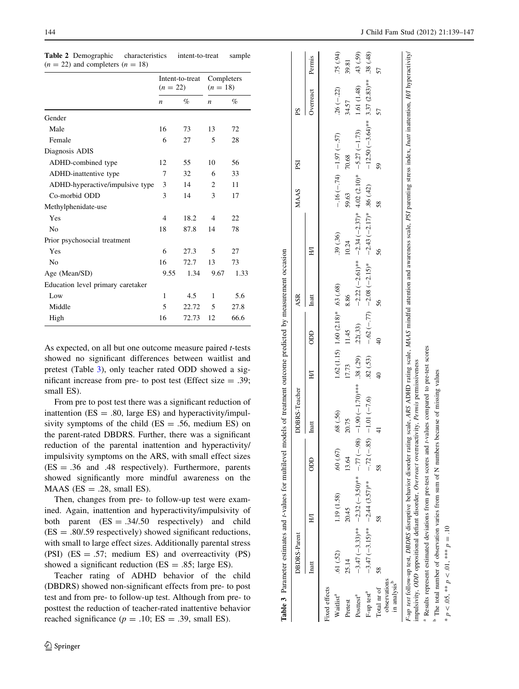|                                   | $(n = 22)$     | Intent-to-treat | Completers<br>$(n = 18)$ |      |
|-----------------------------------|----------------|-----------------|--------------------------|------|
|                                   | n              | $\%$            | $\boldsymbol{n}$         | $\%$ |
| Gender                            |                |                 |                          |      |
| Male                              | 16             | 73              | 13                       | 72   |
| Female                            | 6              | 27              | 5                        | 28   |
| Diagnosis ADIS                    |                |                 |                          |      |
| ADHD-combined type                | 12             | 55              | 10                       | 56   |
| ADHD-inattentive type             | 7              | 32              | 6                        | 33   |
| ADHD-hyperactive/impulsive type   | 3              | 14              | $\overline{c}$           | 11   |
| Co-morbid ODD                     | 3              | 14              | 3                        | 17   |
| Methylphenidate-use               |                |                 |                          |      |
| Yes                               | $\overline{4}$ | 18.2            | $\overline{4}$           | 22   |
| N <sub>0</sub>                    | 18             | 87.8            | 14                       | 78   |
| Prior psychosocial treatment      |                |                 |                          |      |
| Yes                               | 6              | 27.3            | 5                        | 27   |
| N <sub>0</sub>                    | 16             | 72.7            | 13                       | 73   |
| Age (Mean/SD)                     | 9.55           | 1.34            | 9.67                     | 1.33 |
| Education level primary caretaker |                |                 |                          |      |
| Low                               | 1              | 4.5             | 1                        | 5.6  |
| Middle                            | 5              | 22.72           | 5                        | 27.8 |
| High                              | 16             | 72.73           | 12                       | 66.6 |

<span id="page-5-0"></span>Table 2 Demographic characteristics intent-to-treat sample  $(n = 22)$  and completers  $(n = 18)$ 

As expected, on all but one outcome measure paired *t*-tests showed no significant differences between waitlist and pretest (Table 3), only teacher rated ODD showed a significant increase from pre- to post test (Effect size  $= .39$ ; small ES).

From pre to post test there was a significant reduction of inattention ( $ES = .80$ , large  $ES$ ) and hyperactivity/impulsivity symptoms of the child  $(ES = .56, \text{ medium } ES)$  on the parent-rated DBDRS. Further, there was a significant reduction of the parental inattention and hyperactivity/ impulsivity symptoms on the ARS, with small effect sizes  $(ES = .36$  and .48 respectively). Furthermore, parents showed significantly more mindful awareness on the MAAS ( $ES = .28$ , small ES).

Then, changes from pre- to follow-up test were examined. Again, inattention and hyperactivity/impulsivity of both parent  $(ES = .34/.50$  respectively) and child  $(ES = .80/0.59$  respectively) showed significant reductions, with small to large effect sizes. Additionally parental stress (PSI)  $(ES = .57; \text{ medium } ES)$  and overreactivity  $(PS)$ showed a significant reduction  $(ES = .85; \text{large ES}).$ 

Teacher rating of ADHD behavior of the child (DBDRS) showed non-significant effects from pre- to post test and from pre- to follow-up test. Although from pre- to posttest the reduction of teacher-rated inattentive behavior reached significance ( $p = .10$ ; ES = .39, small ES).

| $-12.50 (-3.64)$ ** 3.37 $(2.83)$ ** .38 (.48)<br>34.57<br>$-2.22(-2.61)$ ** $-2.34(-2.37)$ * $4.02(2.10)$ * $-5.27(-1.73)$<br>$-.16$ ( $-.74$ ) $-1.97$ ( $-.57$ )<br>70.68<br>59<br>$-.62(-.77)$ $-2.08$ $(-2.15)^*$ $-2.43$ $(-2.17)^*$ .86 (.42)<br>59.63<br>58<br>.39(.36)<br>10.24<br>FН<br>56<br>$1.62(1.15) 1.60(2.18)* 0.63(0.68)$<br>8.86<br>Inatt<br>56<br>.22(.33)<br>11.45<br>GOO<br>$\frac{1}{2}$<br>$-1.38$ $(0.70 - 1.70)$ $-1.38$<br>.82(.53)<br>17.73<br>ZН<br>$\frac{1}{4}$<br>$-1.01(-7.6)$<br>$(05)$ 80.<br>20.75<br>Inatt<br>$-3.47$ ( $-3.33$ )** $-2.32$ ( $-3.50$ )** $-77$ ( $-98$ )<br>$-.72(-.85)$<br>(60, 60)<br>13.64<br>ã<br>58<br>$-3.47$ $(-3.15)$ ** $-2.44$ $(3.57)$ **<br>1.19 (1.58)<br>20.45<br>Ξ<br>58<br>.61(.52)<br>25.14<br>Inatt<br>58<br>observations<br>in analysis <sup>b</sup><br>Total nr of<br>Fixed effects<br>F-up test <sup>a</sup><br>Waitlist <sup>a</sup><br>Posttest <sup>a</sup><br>Pretest | DBDRS-Parent |  | DDBRS-Teacher |  | <b>ASR</b> | MAAS | ESI | ΡŚ                      |        |
|------------------------------------------------------------------------------------------------------------------------------------------------------------------------------------------------------------------------------------------------------------------------------------------------------------------------------------------------------------------------------------------------------------------------------------------------------------------------------------------------------------------------------------------------------------------------------------------------------------------------------------------------------------------------------------------------------------------------------------------------------------------------------------------------------------------------------------------------------------------------------------------------------------------------------------------------------|--------------|--|---------------|--|------------|------|-----|-------------------------|--------|
|                                                                                                                                                                                                                                                                                                                                                                                                                                                                                                                                                                                                                                                                                                                                                                                                                                                                                                                                                      |              |  |               |  |            |      |     | Overreact               | Permis |
|                                                                                                                                                                                                                                                                                                                                                                                                                                                                                                                                                                                                                                                                                                                                                                                                                                                                                                                                                      |              |  |               |  |            |      |     |                         |        |
|                                                                                                                                                                                                                                                                                                                                                                                                                                                                                                                                                                                                                                                                                                                                                                                                                                                                                                                                                      |              |  |               |  |            |      |     | $.26(-.22)$             |        |
|                                                                                                                                                                                                                                                                                                                                                                                                                                                                                                                                                                                                                                                                                                                                                                                                                                                                                                                                                      |              |  |               |  |            |      |     |                         | 39.81  |
|                                                                                                                                                                                                                                                                                                                                                                                                                                                                                                                                                                                                                                                                                                                                                                                                                                                                                                                                                      |              |  |               |  |            |      |     | $1.61(1.48)$ $.43(.59)$ |        |
|                                                                                                                                                                                                                                                                                                                                                                                                                                                                                                                                                                                                                                                                                                                                                                                                                                                                                                                                                      |              |  |               |  |            |      |     |                         |        |
|                                                                                                                                                                                                                                                                                                                                                                                                                                                                                                                                                                                                                                                                                                                                                                                                                                                                                                                                                      |              |  |               |  |            |      |     |                         |        |

impulsivity, ODD oppositional defiant disorder, Overreact overreactivity, Permis permissiveness  $|\vec{r}|$ 

<sup>a</sup> Results represent estimated deviations from pre-test scores and t-values compared to pre-test scores Results represent estimated deviations from pre-test scores and t-values compared to pre-test scores

<sup>b</sup> The total number of observation varies from sum of N numbers because of missing values The total number of observation varies from sum of N numbers because of missing values

 $\overline{10}$ 

\*  $p \lt .05,$  \*\*  $p \lt .01,$  \*\*\*  $p = .10$  $\parallel$  $1 + 4$ \*\*  $p < 01$ , \*  $p < 0.05$ ,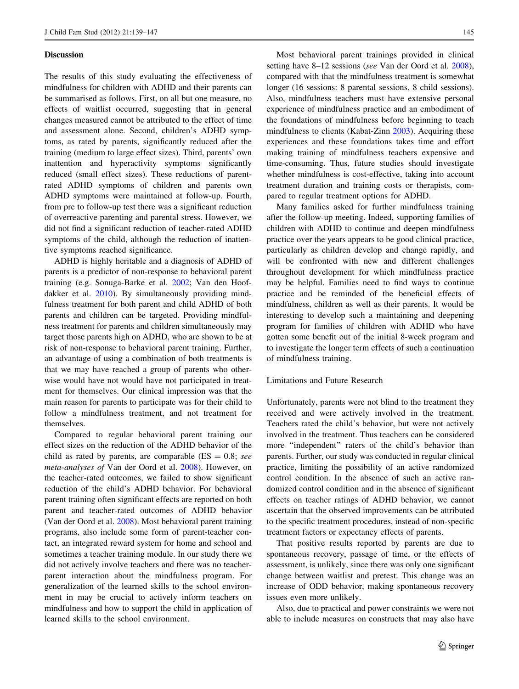#### **Discussion**

The results of this study evaluating the effectiveness of mindfulness for children with ADHD and their parents can be summarised as follows. First, on all but one measure, no effects of waitlist occurred, suggesting that in general changes measured cannot be attributed to the effect of time and assessment alone. Second, children's ADHD symptoms, as rated by parents, significantly reduced after the training (medium to large effect sizes). Third, parents' own inattention and hyperactivity symptoms significantly reduced (small effect sizes). These reductions of parentrated ADHD symptoms of children and parents own ADHD symptoms were maintained at follow-up. Fourth, from pre to follow-up test there was a significant reduction of overreactive parenting and parental stress. However, we did not find a significant reduction of teacher-rated ADHD symptoms of the child, although the reduction of inattentive symptoms reached significance.

ADHD is highly heritable and a diagnosis of ADHD of parents is a predictor of non-response to behavioral parent training (e.g. Sonuga-Barke et al. [2002](#page-8-0); Van den Hoof-dakker et al. [2010](#page-8-0)). By simultaneously providing mindfulness treatment for both parent and child ADHD of both parents and children can be targeted. Providing mindfulness treatment for parents and children simultaneously may target those parents high on ADHD, who are shown to be at risk of non-response to behavioral parent training. Further, an advantage of using a combination of both treatments is that we may have reached a group of parents who otherwise would have not would have not participated in treatment for themselves. Our clinical impression was that the main reason for parents to participate was for their child to follow a mindfulness treatment, and not treatment for themselves.

Compared to regular behavioral parent training our effect sizes on the reduction of the ADHD behavior of the child as rated by parents, are comparable  $(ES = 0.8; see$ meta-analyses of Van der Oord et al. [2008](#page-8-0)). However, on the teacher-rated outcomes, we failed to show significant reduction of the child's ADHD behavior. For behavioral parent training often significant effects are reported on both parent and teacher-rated outcomes of ADHD behavior (Van der Oord et al. [2008](#page-8-0)). Most behavioral parent training programs, also include some form of parent-teacher contact, an integrated reward system for home and school and sometimes a teacher training module. In our study there we did not actively involve teachers and there was no teacherparent interaction about the mindfulness program. For generalization of the learned skills to the school environment in may be crucial to actively inform teachers on mindfulness and how to support the child in application of learned skills to the school environment.

Most behavioral parent trainings provided in clinical setting have 8–12 sessions (see Van der Oord et al. [2008](#page-8-0)), compared with that the mindfulness treatment is somewhat longer (16 sessions: 8 parental sessions, 8 child sessions). Also, mindfulness teachers must have extensive personal experience of mindfulness practice and an embodiment of the foundations of mindfulness before beginning to teach mindfulness to clients (Kabat-Zinn [2003](#page-8-0)). Acquiring these experiences and these foundations takes time and effort making training of mindfulness teachers expensive and time-consuming. Thus, future studies should investigate whether mindfulness is cost-effective, taking into account treatment duration and training costs or therapists, compared to regular treatment options for ADHD.

Many families asked for further mindfulness training after the follow-up meeting. Indeed, supporting families of children with ADHD to continue and deepen mindfulness practice over the years appears to be good clinical practice, particularly as children develop and change rapidly, and will be confronted with new and different challenges throughout development for which mindfulness practice may be helpful. Families need to find ways to continue practice and be reminded of the beneficial effects of mindfulness, children as well as their parents. It would be interesting to develop such a maintaining and deepening program for families of children with ADHD who have gotten some benefit out of the initial 8-week program and to investigate the longer term effects of such a continuation of mindfulness training.

## Limitations and Future Research

Unfortunately, parents were not blind to the treatment they received and were actively involved in the treatment. Teachers rated the child's behavior, but were not actively involved in the treatment. Thus teachers can be considered more "independent" raters of the child's behavior than parents. Further, our study was conducted in regular clinical practice, limiting the possibility of an active randomized control condition. In the absence of such an active randomized control condition and in the absence of significant effects on teacher ratings of ADHD behavior, we cannot ascertain that the observed improvements can be attributed to the specific treatment procedures, instead of non-specific treatment factors or expectancy effects of parents.

That positive results reported by parents are due to spontaneous recovery, passage of time, or the effects of assessment, is unlikely, since there was only one significant change between waitlist and pretest. This change was an increase of ODD behavior, making spontaneous recovery issues even more unlikely.

Also, due to practical and power constraints we were not able to include measures on constructs that may also have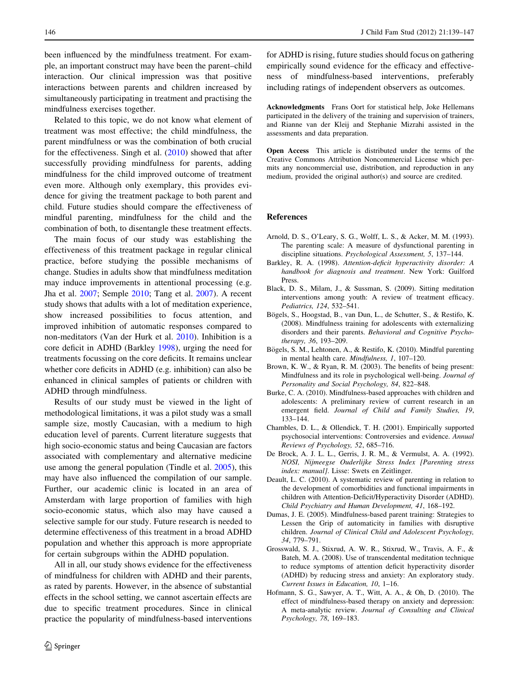<span id="page-7-0"></span>been influenced by the mindfulness treatment. For example, an important construct may have been the parent–child interaction. Our clinical impression was that positive interactions between parents and children increased by simultaneously participating in treatment and practising the mindfulness exercises together.

Related to this topic, we do not know what element of treatment was most effective; the child mindfulness, the parent mindfulness or was the combination of both crucial for the effectiveness. Singh et al. [\(2010](#page-8-0)) showed that after successfully providing mindfulness for parents, adding mindfulness for the child improved outcome of treatment even more. Although only exemplary, this provides evidence for giving the treatment package to both parent and child. Future studies should compare the effectiveness of mindful parenting, mindfulness for the child and the combination of both, to disentangle these treatment effects.

The main focus of our study was establishing the effectiveness of this treatment package in regular clinical practice, before studying the possible mechanisms of change. Studies in adults show that mindfulness meditation may induce improvements in attentional processing (e.g. Jha et al. [2007](#page-8-0); Semple [2010;](#page-8-0) Tang et al. [2007\)](#page-8-0). A recent study shows that adults with a lot of meditation experience, show increased possibilities to focus attention, and improved inhibition of automatic responses compared to non-meditators (Van der Hurk et al. [2010](#page-8-0)). Inhibition is a core deficit in ADHD (Barkley 1998), urging the need for treatments focussing on the core deficits. It remains unclear whether core deficits in ADHD (e.g. inhibition) can also be enhanced in clinical samples of patients or children with ADHD through mindfulness.

Results of our study must be viewed in the light of methodological limitations, it was a pilot study was a small sample size, mostly Caucasian, with a medium to high education level of parents. Current literature suggests that high socio-economic status and being Caucasian are factors associated with complementary and alternative medicine use among the general population (Tindle et al. [2005\)](#page-8-0), this may have also influenced the compilation of our sample. Further, our academic clinic is located in an area of Amsterdam with large proportion of families with high socio-economic status, which also may have caused a selective sample for our study. Future research is needed to determine effectiveness of this treatment in a broad ADHD population and whether this approach is more appropriate for certain subgroups within the ADHD population.

All in all, our study shows evidence for the effectiveness of mindfulness for children with ADHD and their parents, as rated by parents. However, in the absence of substantial effects in the school setting, we cannot ascertain effects are due to specific treatment procedures. Since in clinical practice the popularity of mindfulness-based interventions for ADHD is rising, future studies should focus on gathering empirically sound evidence for the efficacy and effectiveness of mindfulness-based interventions, preferably including ratings of independent observers as outcomes.

Acknowledgments Frans Oort for statistical help, Joke Hellemans participated in the delivery of the training and supervision of trainers, and Rianne van der Kleij and Stephanie Mizrahi assisted in the assessments and data preparation.

Open Access This article is distributed under the terms of the Creative Commons Attribution Noncommercial License which permits any noncommercial use, distribution, and reproduction in any medium, provided the original author(s) and source are credited.

#### References

- Arnold, D. S., O'Leary, S. G., Wolff, L. S., & Acker, M. M. (1993). The parenting scale: A measure of dysfunctional parenting in discipline situations. Psychological Assessment, 5, 137–144.
- Barkley, R. A. (1998). Attention-deficit hyperactivity disorder: A handbook for diagnosis and treatment. New York: Guilford Press.
- Black, D. S., Milam, J., & Sussman, S. (2009). Sitting meditation interventions among youth: A review of treatment efficacy. Pediatrics, 124, 532–541.
- Bögels, S., Hoogstad, B., van Dun, L., de Schutter, S., & Restifo, K. (2008). Mindfulness training for adolescents with externalizing disorders and their parents. Behavioral and Cognitive Psychotherapy, 36, 193–209.
- Bögels, S. M., Lehtonen, A., & Restifo, K. (2010). Mindful parenting in mental health care. Mindfulness, 1, 107–120.
- Brown, K. W., & Ryan, R. M. (2003). The benefits of being present: Mindfulness and its role in psychological well-being. Journal of Personality and Social Psychology, 84, 822–848.
- Burke, C. A. (2010). Mindfulness-based approaches with children and adolescents: A preliminary review of current research in an emergent field. Journal of Child and Family Studies, 19, 133–144.
- Chambles, D. L., & Ollendick, T. H. (2001). Empirically supported psychosocial interventions: Controversies and evidence. Annual Reviews of Psychology, 52, 685–716.
- De Brock, A. J. L. L., Gerris, J. R. M., & Vermulst, A. A. (1992). NOSI, Nijmeegse Ouderlijke Stress Index [Parenting stress index: manual]. Lisse: Swets en Zeitlinger.
- Deault, L. C. (2010). A systematic review of parenting in relation to the development of comorbidities and functional impairments in children with Attention-Deficit/Hyperactivity Disorder (ADHD). Child Psychiatry and Human Development, 41, 168–192.
- Dumas, J. E. (2005). Mindfulness-based parent training: Strategies to Lessen the Grip of automaticity in families with disruptive children. Journal of Clinical Child and Adolescent Psychology, 34, 779–791.
- Grosswald, S. J., Stixrud, A. W. R., Stixrud, W., Travis, A. F., & Bateh, M. A. (2008). Use of transcendental meditation technique to reduce symptoms of attention deficit hyperactivity disorder (ADHD) by reducing stress and anxiety: An exploratory study. Current Issues in Education, 10, 1–16.
- Hofmann, S. G., Sawyer, A. T., Witt, A. A., & Oh, D. (2010). The effect of mindfulness-based therapy on anxiety and depression: A meta-analytic review. Journal of Consulting and Clinical Psychology, 78, 169–183.